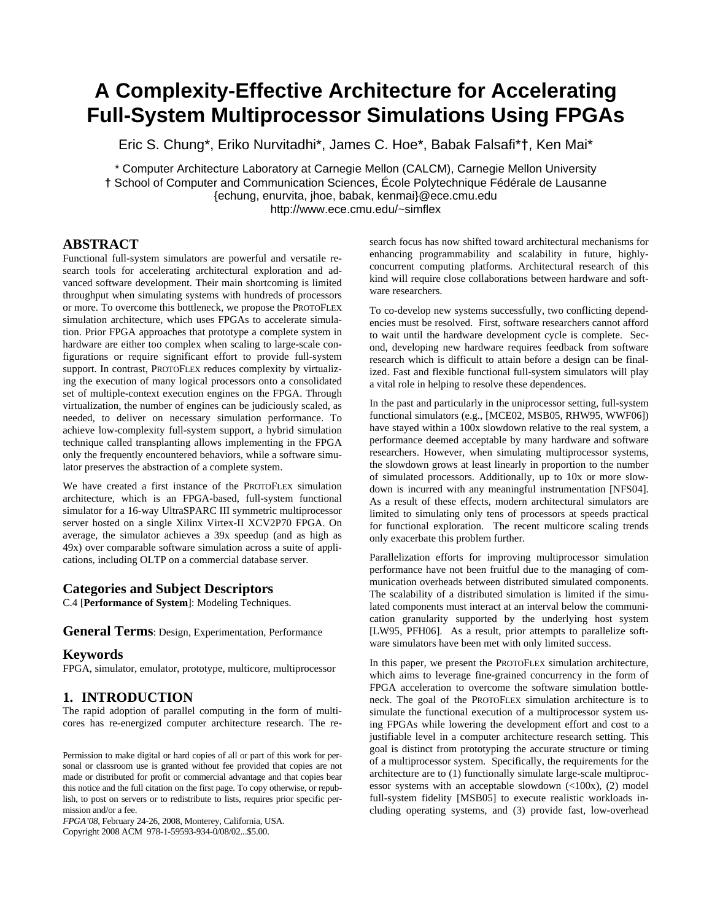# **A Complexity-Effective Architecture for Accelerating Full-System Multiprocessor Simulations Using FPGAs**

Eric S. Chung\*, Eriko Nurvitadhi\*, James C. Hoe\*, Babak Falsafi\***†**, Ken Mai\*

\* Computer Architecture Laboratory at Carnegie Mellon (CALCM), Carnegie Mellon University **†** School of Computer and Communication Sciences, École Polytechnique Fédérale de Lausanne {echung, enurvita, jhoe, babak, kenmai}@ece.cmu.edu http://www.ece.cmu.edu/~simflex

### **ABSTRACT**

Functional full-system simulators are powerful and versatile research tools for accelerating architectural exploration and advanced software development. Their main shortcoming is limited throughput when simulating systems with hundreds of processors or more. To overcome this bottleneck, we propose the PROTOFLEX simulation architecture, which uses FPGAs to accelerate simulation. Prior FPGA approaches that prototype a complete system in hardware are either too complex when scaling to large-scale configurations or require significant effort to provide full-system support. In contrast, PROTOFLEX reduces complexity by virtualizing the execution of many logical processors onto a consolidated set of multiple-context execution engines on the FPGA. Through virtualization, the number of engines can be judiciously scaled, as needed, to deliver on necessary simulation performance. To achieve low-complexity full-system support, a hybrid simulation technique called transplanting allows implementing in the FPGA only the frequently encountered behaviors, while a software simulator preserves the abstraction of a complete system.

We have created a first instance of the PROTOFLEX simulation architecture, which is an FPGA-based, full-system functional simulator for a 16-way UltraSPARC III symmetric multiprocessor server hosted on a single Xilinx Virtex-II XCV2P70 FPGA. On average, the simulator achieves a 39x speedup (and as high as 49x) over comparable software simulation across a suite of applications, including OLTP on a commercial database server.

### **Categories and Subject Descriptors**

C.4 [**Performance of System**]: Modeling Techniques.

**General Terms**: Design, Experimentation, Performance

### **Keywords**

FPGA, simulator, emulator, prototype, multicore, multiprocessor

### **1. INTRODUCTION**

The rapid adoption of parallel computing in the form of multicores has re-energized computer architecture research. The re-

*FPGA'08*, February 24-26, 2008, Monterey, California, USA. Copyright 2008 ACM 978-1-59593-934-0/08/02...\$5.00.

search focus has now shifted toward architectural mechanisms for enhancing programmability and scalability in future, highlyconcurrent computing platforms. Architectural research of this kind will require close collaborations between hardware and software researchers.

To co-develop new systems successfully, two conflicting dependencies must be resolved. First, software researchers cannot afford to wait until the hardware development cycle is complete. Second, developing new hardware requires feedback from software research which is difficult to attain before a design can be finalized. Fast and flexible functional full-system simulators will play a vital role in helping to resolve these dependences.

In the past and particularly in the uniprocessor setting, full-system functional simulators (e.g., [MCE02, MSB05, RHW95, WWF06]) have stayed within a 100x slowdown relative to the real system, a performance deemed acceptable by many hardware and software researchers. However, when simulating multiprocessor systems, the slowdown grows at least linearly in proportion to the number of simulated processors. Additionally, up to 10x or more slowdown is incurred with any meaningful instrumentation [NFS04]. As a result of these effects, modern architectural simulators are limited to simulating only tens of processors at speeds practical for functional exploration. The recent multicore scaling trends only exacerbate this problem further.

Parallelization efforts for improving multiprocessor simulation performance have not been fruitful due to the managing of communication overheads between distributed simulated components. The scalability of a distributed simulation is limited if the simulated components must interact at an interval below the communication granularity supported by the underlying host system [LW95, PFH06]. As a result, prior attempts to parallelize software simulators have been met with only limited success.

In this paper, we present the PROTOFLEX simulation architecture, which aims to leverage fine-grained concurrency in the form of FPGA acceleration to overcome the software simulation bottleneck. The goal of the PROTOFLEX simulation architecture is to simulate the functional execution of a multiprocessor system using FPGAs while lowering the development effort and cost to a justifiable level in a computer architecture research setting. This goal is distinct from prototyping the accurate structure or timing of a multiprocessor system. Specifically, the requirements for the architecture are to (1) functionally simulate large-scale multiprocessor systems with an acceptable slowdown (<100x), (2) model full-system fidelity [MSB05] to execute realistic workloads including operating systems, and (3) provide fast, low-overhead

Permission to make digital or hard copies of all or part of this work for personal or classroom use is granted without fee provided that copies are not made or distributed for profit or commercial advantage and that copies bear this notice and the full citation on the first page. To copy otherwise, or republish, to post on servers or to redistribute to lists, requires prior specific permission and/or a fee.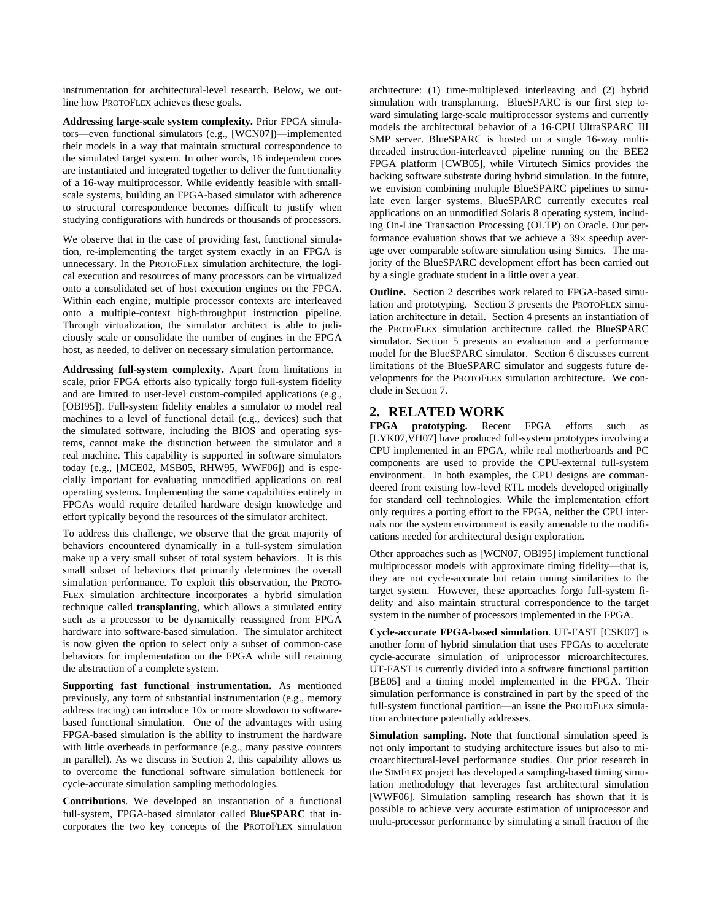instrumentation for architectural-level research. Below, we outline how PROTOFLEX achieves these goals.

**Addressing large-scale system complexity.** Prior FPGA simulators—even functional simulators (e.g., [WCN07])—implemented their models in a way that maintain structural correspondence to the simulated target system. In other words, 16 independent cores are instantiated and integrated together to deliver the functionality of a 16-way multiprocessor. While evidently feasible with smallscale systems, building an FPGA-based simulator with adherence to structural correspondence becomes difficult to justify when studying configurations with hundreds or thousands of processors.

We observe that in the case of providing fast, functional simulation, re-implementing the target system exactly in an FPGA is unnecessary. In the PROTOFLEX simulation architecture, the logical execution and resources of many processors can be virtualized onto a consolidated set of host execution engines on the FPGA. Within each engine, multiple processor contexts are interleaved onto a multiple-context high-throughput instruction pipeline. Through virtualization, the simulator architect is able to judiciously scale or consolidate the number of engines in the FPGA host, as needed, to deliver on necessary simulation performance.

**Addressing full-system complexity.** Apart from limitations in scale, prior FPGA efforts also typically forgo full-system fidelity and are limited to user-level custom-compiled applications (e.g., [OBI95]). Full-system fidelity enables a simulator to model real machines to a level of functional detail (e.g., devices) such that the simulated software, including the BIOS and operating systems, cannot make the distinction between the simulator and a real machine. This capability is supported in software simulators today (e.g., [MCE02, MSB05, RHW95, WWF06]) and is especially important for evaluating unmodified applications on real operating systems. Implementing the same capabilities entirely in FPGAs would require detailed hardware design knowledge and effort typically beyond the resources of the simulator architect.

To address this challenge, we observe that the great majority of behaviors encountered dynamically in a full-system simulation make up a very small subset of total system behaviors. It is this small subset of behaviors that primarily determines the overall simulation performance. To exploit this observation, the PROTO-FLEX simulation architecture incorporates a hybrid simulation technique called **transplanting**, which allows a simulated entity such as a processor to be dynamically reassigned from FPGA hardware into software-based simulation. The simulator architect is now given the option to select only a subset of common-case behaviors for implementation on the FPGA while still retaining the abstraction of a complete system.

**Supporting fast functional instrumentation.** As mentioned previously, any form of substantial instrumentation (e.g., memory address tracing) can introduce 10x or more slowdown to softwarebased functional simulation. One of the advantages with using FPGA-based simulation is the ability to instrument the hardware with little overheads in performance (e.g., many passive counters in parallel). As we discuss in Section 2, this capability allows us to overcome the functional software simulation bottleneck for cycle-accurate simulation sampling methodologies.

**Contributions**. We developed an instantiation of a functional full-system, FPGA-based simulator called **BlueSPARC** that incorporates the two key concepts of the PROTOFLEX simulation

architecture: (1) time-multiplexed interleaving and (2) hybrid simulation with transplanting. BlueSPARC is our first step toward simulating large-scale multiprocessor systems and currently models the architectural behavior of a 16-CPU UltraSPARC III SMP server. BlueSPARC is hosted on a single 16-way multithreaded instruction-interleaved pipeline running on the BEE2 FPGA platform [CWB05], while Virtutech Simics provides the backing software substrate during hybrid simulation. In the future, we envision combining multiple BlueSPARC pipelines to simulate even larger systems. BlueSPARC currently executes real applications on an unmodified Solaris 8 operating system, including On-Line Transaction Processing (OLTP) on Oracle. Our performance evaluation shows that we achieve a 39× speedup average over comparable software simulation using Simics. The majority of the BlueSPARC development effort has been carried out by a single graduate student in a little over a year.

**Outline.** Section 2 describes work related to FPGA-based simulation and prototyping. Section 3 presents the PROTOFLEX simulation architecture in detail. Section 4 presents an instantiation of the PROTOFLEX simulation architecture called the BlueSPARC simulator. Section 5 presents an evaluation and a performance model for the BlueSPARC simulator. Section 6 discusses current limitations of the BlueSPARC simulator and suggests future developments for the PROTOFLEX simulation architecture. We conclude in Section 7.

### **2. RELATED WORK**

**FPGA** prototyping. Recent FPGA efforts such [LYK07,VH07] have produced full-system prototypes involving a CPU implemented in an FPGA, while real motherboards and PC components are used to provide the CPU-external full-system environment. In both examples, the CPU designs are commandeered from existing low-level RTL models developed originally for standard cell technologies. While the implementation effort only requires a porting effort to the FPGA, neither the CPU internals nor the system environment is easily amenable to the modifications needed for architectural design exploration.

Other approaches such as [WCN07, OBI95] implement functional multiprocessor models with approximate timing fidelity—that is, they are not cycle-accurate but retain timing similarities to the target system. However, these approaches forgo full-system fidelity and also maintain structural correspondence to the target system in the number of processors implemented in the FPGA.

**Cycle-accurate FPGA-based simulation**. UT-FAST [CSK07] is another form of hybrid simulation that uses FPGAs to accelerate cycle-accurate simulation of uniprocessor microarchitectures. UT-FAST is currently divided into a software functional partition [BE05] and a timing model implemented in the FPGA. Their simulation performance is constrained in part by the speed of the full-system functional partition—an issue the PROTOFLEX simulation architecture potentially addresses.

**Simulation sampling.** Note that functional simulation speed is not only important to studying architecture issues but also to microarchitectural-level performance studies. Our prior research in the SIMFLEX project has developed a sampling-based timing simulation methodology that leverages fast architectural simulation [WWF06]. Simulation sampling research has shown that it is possible to achieve very accurate estimation of uniprocessor and multi-processor performance by simulating a small fraction of the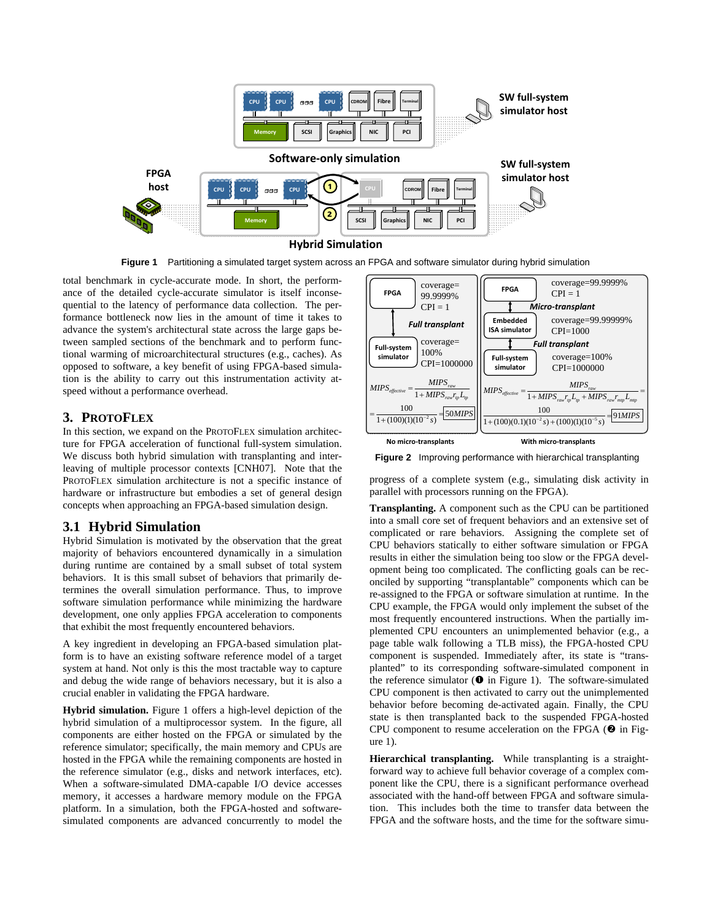

**Figure 1** Partitioning a simulated target system across an FPGA and software simulator during hybrid simulation

total benchmark in cycle-accurate mode. In short, the performance of the detailed cycle-accurate simulator is itself inconsequential to the latency of performance data collection. The performance bottleneck now lies in the amount of time it takes to advance the system's architectural state across the large gaps between sampled sections of the benchmark and to perform functional warming of microarchitectural structures (e.g., caches). As opposed to software, a key benefit of using FPGA-based simulation is the ability to carry out this instrumentation activity atspeed without a performance overhead.

#### **3. PROTOFLEX**

In this section, we expand on the PROTOFLEX simulation architecture for FPGA acceleration of functional full-system simulation. We discuss both hybrid simulation with transplanting and interleaving of multiple processor contexts [CNH07]. Note that the PROTOFLEX simulation architecture is not a specific instance of hardware or infrastructure but embodies a set of general design concepts when approaching an FPGA-based simulation design.

### **3.1 Hybrid Simulation**

Hybrid Simulation is motivated by the observation that the great majority of behaviors encountered dynamically in a simulation during runtime are contained by a small subset of total system behaviors. It is this small subset of behaviors that primarily determines the overall simulation performance. Thus, to improve software simulation performance while minimizing the hardware development, one only applies FPGA acceleration to components that exhibit the most frequently encountered behaviors.

A key ingredient in developing an FPGA-based simulation platform is to have an existing software reference model of a target system at hand. Not only is this the most tractable way to capture and debug the wide range of behaviors necessary, but it is also a crucial enabler in validating the FPGA hardware.

**Hybrid simulation.** Figure 1 offers a high-level depiction of the hybrid simulation of a multiprocessor system. In the figure, all components are either hosted on the FPGA or simulated by the reference simulator; specifically, the main memory and CPUs are hosted in the FPGA while the remaining components are hosted in the reference simulator (e.g., disks and network interfaces, etc). When a software-simulated DMA-capable I/O device accesses memory, it accesses a hardware memory module on the FPGA platform. In a simulation, both the FPGA-hosted and softwaresimulated components are advanced concurrently to model the



**Figure 2** Improving performance with hierarchical transplanting

progress of a complete system (e.g., simulating disk activity in parallel with processors running on the FPGA).

**Transplanting.** A component such as the CPU can be partitioned into a small core set of frequent behaviors and an extensive set of complicated or rare behaviors. Assigning the complete set of CPU behaviors statically to either software simulation or FPGA results in either the simulation being too slow or the FPGA development being too complicated. The conflicting goals can be reconciled by supporting "transplantable" components which can be re-assigned to the FPGA or software simulation at runtime. In the CPU example, the FPGA would only implement the subset of the most frequently encountered instructions. When the partially implemented CPU encounters an unimplemented behavior (e.g., a page table walk following a TLB miss), the FPGA-hosted CPU component is suspended. Immediately after, its state is "transplanted" to its corresponding software-simulated component in the reference simulator  $(\bullet)$  in Figure 1). The software-simulated CPU component is then activated to carry out the unimplemented behavior before becoming de-activated again. Finally, the CPU state is then transplanted back to the suspended FPGA-hosted CPU component to resume acceleration on the FPGA  $(\bullet$  in Figure 1).

**Hierarchical transplanting.** While transplanting is a straightforward way to achieve full behavior coverage of a complex component like the CPU, there is a significant performance overhead associated with the hand-off between FPGA and software simulation. This includes both the time to transfer data between the FPGA and the software hosts, and the time for the software simu-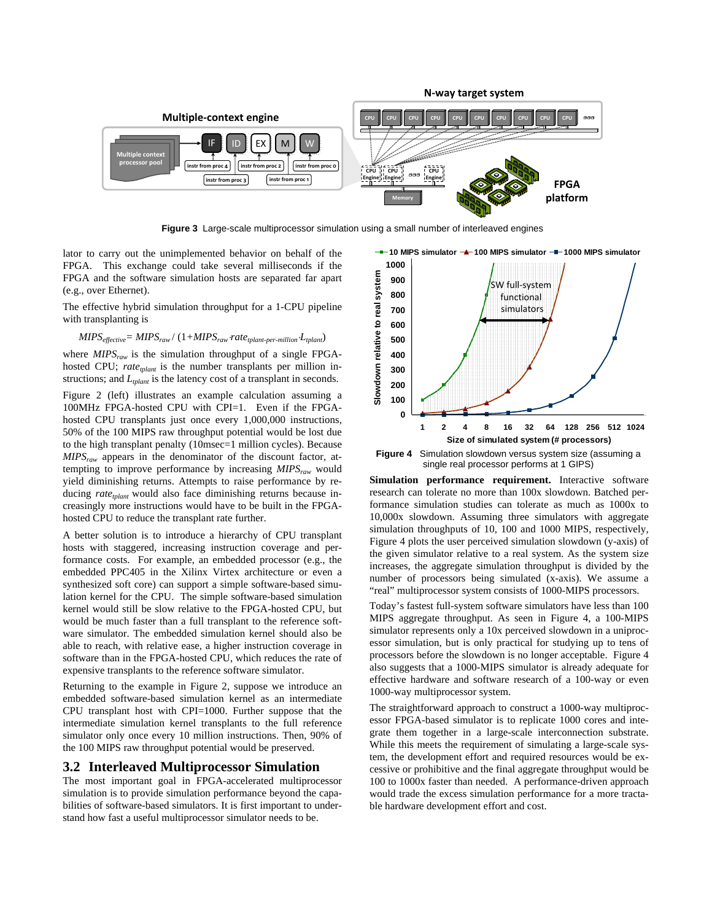

**Figure 3** Large-scale multiprocessor simulation using a small number of interleaved engines

lator to carry out the unimplemented behavior on behalf of the FPGA. This exchange could take several milliseconds if the FPGA and the software simulation hosts are separated far apart (e.g., over Ethernet).

The effective hybrid simulation throughput for a 1-CPU pipeline with transplanting is

$$
MIPS_{effective} = MIPS_{raw} / (1+MIPS_{raw} rate_{tplant-per-million} L_{tplant})
$$

where *MIPS<sub>raw</sub>* is the simulation throughput of a single FPGAhosted CPU; *rate<sub>tplant</sub>* is the number transplants per million instructions; and *L<sub>tplant</sub>* is the latency cost of a transplant in seconds.

Figure 2 (left) illustrates an example calculation assuming a 100MHz FPGA-hosted CPU with CPI=1. Even if the FPGAhosted CPU transplants just once every 1,000,000 instructions, 50% of the 100 MIPS raw throughput potential would be lost due to the high transplant penalty (10msec=1 million cycles). Because *MIPSraw* appears in the denominator of the discount factor, attempting to improve performance by increasing *MIPSraw* would yield diminishing returns. Attempts to raise performance by reducing *rate<sub>tplant</sub>* would also face diminishing returns because increasingly more instructions would have to be built in the FPGAhosted CPU to reduce the transplant rate further.

A better solution is to introduce a hierarchy of CPU transplant hosts with staggered, increasing instruction coverage and performance costs. For example, an embedded processor (e.g., the embedded PPC405 in the Xilinx Virtex architecture or even a synthesized soft core) can support a simple software-based simulation kernel for the CPU. The simple software-based simulation kernel would still be slow relative to the FPGA-hosted CPU, but would be much faster than a full transplant to the reference software simulator. The embedded simulation kernel should also be able to reach, with relative ease, a higher instruction coverage in software than in the FPGA-hosted CPU, which reduces the rate of expensive transplants to the reference software simulator.

Returning to the example in Figure 2, suppose we introduce an embedded software-based simulation kernel as an intermediate CPU transplant host with CPI=1000. Further suppose that the intermediate simulation kernel transplants to the full reference simulator only once every 10 million instructions. Then, 90% of the 100 MIPS raw throughput potential would be preserved.

#### **3.2 Interleaved Multiprocessor Simulation**

The most important goal in FPGA-accelerated multiprocessor simulation is to provide simulation performance beyond the capabilities of software-based simulators. It is first important to understand how fast a useful multiprocessor simulator needs to be.



**Simulation performance requirement.** Interactive software research can tolerate no more than 100x slowdown. Batched performance simulation studies can tolerate as much as 1000x to 10,000x slowdown. Assuming three simulators with aggregate simulation throughputs of 10, 100 and 1000 MIPS, respectively, Figure 4 plots the user perceived simulation slowdown (y-axis) of the given simulator relative to a real system. As the system size increases, the aggregate simulation throughput is divided by the number of processors being simulated (x-axis). We assume a "real" multiprocessor system consists of 1000-MIPS processors.

Today's fastest full-system software simulators have less than 100 MIPS aggregate throughput. As seen in Figure 4, a 100-MIPS simulator represents only a 10x perceived slowdown in a uniprocessor simulation, but is only practical for studying up to tens of processors before the slowdown is no longer acceptable. Figure 4 also suggests that a 1000-MIPS simulator is already adequate for effective hardware and software research of a 100-way or even 1000-way multiprocessor system.

The straightforward approach to construct a 1000-way multiprocessor FPGA-based simulator is to replicate 1000 cores and integrate them together in a large-scale interconnection substrate. While this meets the requirement of simulating a large-scale system, the development effort and required resources would be excessive or prohibitive and the final aggregate throughput would be 100 to 1000x faster than needed. A performance-driven approach would trade the excess simulation performance for a more tractable hardware development effort and cost.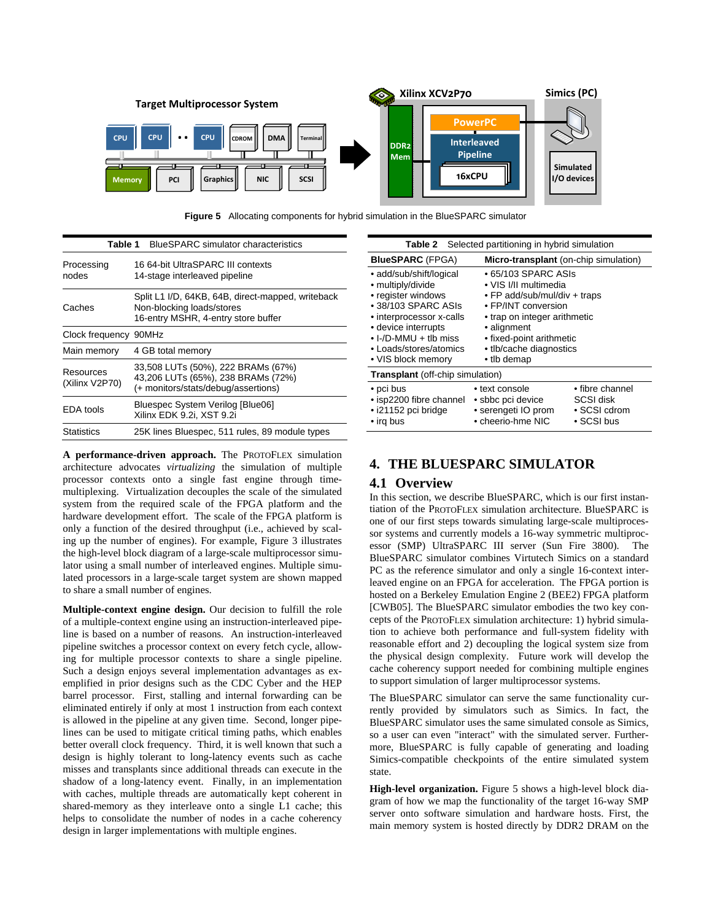

**Figure 5** Allocating components for hybrid simulation in the BlueSPARC simulator

|                             | <b>Table 1</b> BlueSPARC simulator characteristics                                                                    |  |  |  |
|-----------------------------|-----------------------------------------------------------------------------------------------------------------------|--|--|--|
| Processing<br>nodes         | 16 64-bit UltraSPARC III contexts<br>14-stage interleaved pipeline                                                    |  |  |  |
| Caches                      | Split L1 I/D, 64KB, 64B, direct-mapped, writeback<br>Non-blocking loads/stores<br>16-entry MSHR, 4-entry store buffer |  |  |  |
| Clock frequency             | 90MHz                                                                                                                 |  |  |  |
| Main memory                 | 4 GB total memory                                                                                                     |  |  |  |
| Resources<br>(Xilinx V2P70) | 33,508 LUTs (50%), 222 BRAMs (67%)<br>43,206 LUTs (65%), 238 BRAMs (72%)<br>(+ monitors/stats/debug/assertions)       |  |  |  |
| <b>FDA</b> tools            | Bluespec System Verilog [Blue06]<br>Xilinx EDK 9.2i, XST 9.2i                                                         |  |  |  |
| <b>Statistics</b>           | 25K lines Bluespec, 511 rules, 89 module types                                                                        |  |  |  |

**A performance-driven approach.** The PROTOFLEX simulation architecture advocates *virtualizing* the simulation of multiple processor contexts onto a single fast engine through timemultiplexing. Virtualization decouples the scale of the simulated system from the required scale of the FPGA platform and the hardware development effort. The scale of the FPGA platform is only a function of the desired throughput (i.e., achieved by scaling up the number of engines). For example, Figure 3 illustrates the high-level block diagram of a large-scale multiprocessor simulator using a small number of interleaved engines. Multiple simulated processors in a large-scale target system are shown mapped to share a small number of engines.

**Multiple-context engine design.** Our decision to fulfill the role of a multiple-context engine using an instruction-interleaved pipeline is based on a number of reasons. An instruction-interleaved pipeline switches a processor context on every fetch cycle, allowing for multiple processor contexts to share a single pipeline. Such a design enjoys several implementation advantages as exemplified in prior designs such as the CDC Cyber and the HEP barrel processor. First, stalling and internal forwarding can be eliminated entirely if only at most 1 instruction from each context is allowed in the pipeline at any given time. Second, longer pipelines can be used to mitigate critical timing paths, which enables better overall clock frequency. Third, it is well known that such a design is highly tolerant to long-latency events such as cache misses and transplants since additional threads can execute in the shadow of a long-latency event. Finally, in an implementation with caches, multiple threads are automatically kept coherent in shared-memory as they interleave onto a single L1 cache; this helps to consolidate the number of nodes in a cache coherency design in larger implementations with multiple engines.

|                                                                                                                                                                                                                             | <b>Table 2</b> Selected partitioning in hybrid simulation                                                                                                                                                                |  |  |  |  |  |
|-----------------------------------------------------------------------------------------------------------------------------------------------------------------------------------------------------------------------------|--------------------------------------------------------------------------------------------------------------------------------------------------------------------------------------------------------------------------|--|--|--|--|--|
| <b>BlueSPARC (FPGA)</b>                                                                                                                                                                                                     | <b>Micro-transplant</b> (on-chip simulation)                                                                                                                                                                             |  |  |  |  |  |
| • add/sub/shift/logical<br>• multiply/divide<br>• register windows<br>• 38/103 SPARC ASIs<br>• interprocessor x-calls<br>• device interrupts<br>$\cdot$ I-/D-MMU + tlb miss<br>• Loads/stores/atomics<br>• VIS block memory | • 65/103 SPARC ASIs<br>• VIS I/II multimedia<br>• FP add/sub/mul/div + traps<br>• FP/INT conversion<br>• trap on integer arithmetic<br>• alignment<br>• fixed-point arithmetic<br>• tlb/cache diagnostics<br>• tlb demap |  |  |  |  |  |
| <b>Transplant</b> (off-chip simulation)                                                                                                                                                                                     |                                                                                                                                                                                                                          |  |  |  |  |  |
| • pci bus<br>• isp2200 fibre channel<br>• i21152 pci bridge<br>• irg bus                                                                                                                                                    | • fibre channel<br>• text console<br><b>SCSI disk</b><br>• sbbc pci device<br>• serengeti IO prom<br>• SCSI cdrom<br>• cheerio-hme NIC<br>$\cdot$ SCSI bus                                                               |  |  |  |  |  |

### **4. THE BLUESPARC SIMULATOR**

### **4.1 Overview**

In this section, we describe BlueSPARC, which is our first instantiation of the PROTOFLEX simulation architecture. BlueSPARC is one of our first steps towards simulating large-scale multiprocessor systems and currently models a 16-way symmetric multiprocessor (SMP) UltraSPARC III server (Sun Fire 3800). The BlueSPARC simulator combines Virtutech Simics on a standard PC as the reference simulator and only a single 16-context interleaved engine on an FPGA for acceleration. The FPGA portion is hosted on a Berkeley Emulation Engine 2 (BEE2) FPGA platform [CWB05]. The BlueSPARC simulator embodies the two key concepts of the PROTOFLEX simulation architecture: 1) hybrid simulation to achieve both performance and full-system fidelity with reasonable effort and 2) decoupling the logical system size from the physical design complexity. Future work will develop the cache coherency support needed for combining multiple engines to support simulation of larger multiprocessor systems.

The BlueSPARC simulator can serve the same functionality currently provided by simulators such as Simics. In fact, the BlueSPARC simulator uses the same simulated console as Simics, so a user can even "interact" with the simulated server. Furthermore, BlueSPARC is fully capable of generating and loading Simics-compatible checkpoints of the entire simulated system state.

**High-level organization.** Figure 5 shows a high-level block diagram of how we map the functionality of the target 16-way SMP server onto software simulation and hardware hosts. First, the main memory system is hosted directly by DDR2 DRAM on the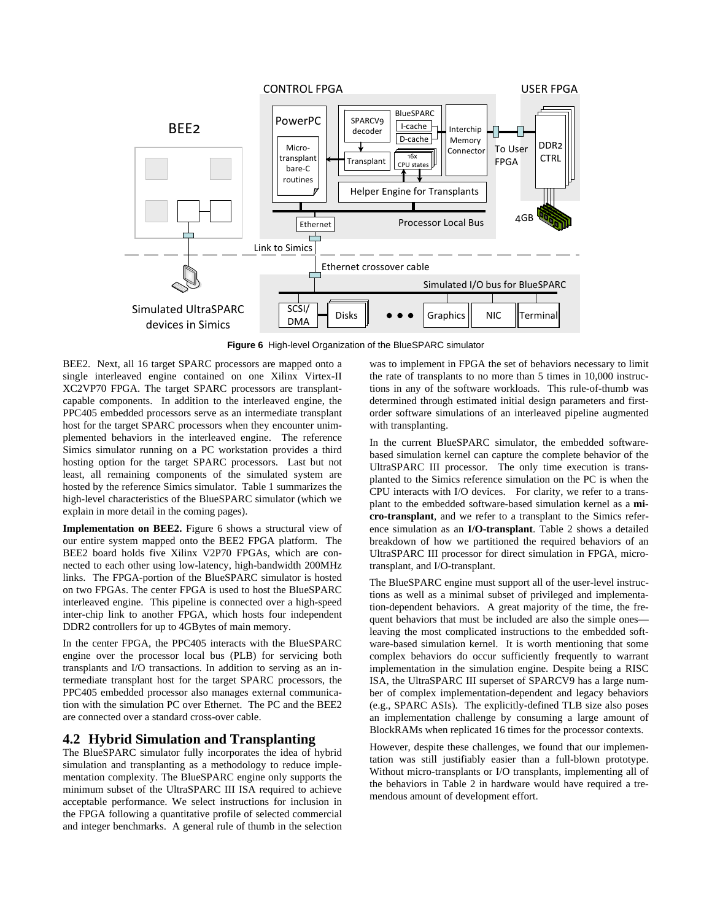

**Figure 6** High-level Organization of the BlueSPARC simulator

BEE2. Next, all 16 target SPARC processors are mapped onto a single interleaved engine contained on one Xilinx Virtex-II XC2VP70 FPGA. The target SPARC processors are transplantcapable components. In addition to the interleaved engine, the PPC405 embedded processors serve as an intermediate transplant host for the target SPARC processors when they encounter unimplemented behaviors in the interleaved engine. The reference Simics simulator running on a PC workstation provides a third hosting option for the target SPARC processors. Last but not least, all remaining components of the simulated system are hosted by the reference Simics simulator. Table 1 summarizes the high-level characteristics of the BlueSPARC simulator (which we explain in more detail in the coming pages).

**Implementation on BEE2.** Figure 6 shows a structural view of our entire system mapped onto the BEE2 FPGA platform. The BEE2 board holds five Xilinx V2P70 FPGAs, which are connected to each other using low-latency, high-bandwidth 200MHz links. The FPGA-portion of the BlueSPARC simulator is hosted on two FPGAs. The center FPGA is used to host the BlueSPARC interleaved engine. This pipeline is connected over a high-speed inter-chip link to another FPGA, which hosts four independent DDR2 controllers for up to 4GBytes of main memory.

In the center FPGA, the PPC405 interacts with the BlueSPARC engine over the processor local bus (PLB) for servicing both transplants and I/O transactions. In addition to serving as an intermediate transplant host for the target SPARC processors, the PPC405 embedded processor also manages external communication with the simulation PC over Ethernet. The PC and the BEE2 are connected over a standard cross-over cable.

### **4.2 Hybrid Simulation and Transplanting**

The BlueSPARC simulator fully incorporates the idea of hybrid simulation and transplanting as a methodology to reduce implementation complexity. The BlueSPARC engine only supports the minimum subset of the UltraSPARC III ISA required to achieve acceptable performance. We select instructions for inclusion in the FPGA following a quantitative profile of selected commercial and integer benchmarks. A general rule of thumb in the selection

was to implement in FPGA the set of behaviors necessary to limit the rate of transplants to no more than 5 times in 10,000 instructions in any of the software workloads. This rule-of-thumb was determined through estimated initial design parameters and firstorder software simulations of an interleaved pipeline augmented with transplanting.

In the current BlueSPARC simulator, the embedded softwarebased simulation kernel can capture the complete behavior of the UltraSPARC III processor. The only time execution is transplanted to the Simics reference simulation on the PC is when the CPU interacts with I/O devices. For clarity, we refer to a transplant to the embedded software-based simulation kernel as a **micro-transplant**, and we refer to a transplant to the Simics reference simulation as an **I/O-transplant**. Table 2 shows a detailed breakdown of how we partitioned the required behaviors of an UltraSPARC III processor for direct simulation in FPGA, microtransplant, and I/O-transplant.

The BlueSPARC engine must support all of the user-level instructions as well as a minimal subset of privileged and implementation-dependent behaviors. A great majority of the time, the frequent behaviors that must be included are also the simple ones leaving the most complicated instructions to the embedded software-based simulation kernel. It is worth mentioning that some complex behaviors do occur sufficiently frequently to warrant implementation in the simulation engine. Despite being a RISC ISA, the UltraSPARC III superset of SPARCV9 has a large number of complex implementation-dependent and legacy behaviors (e.g., SPARC ASIs). The explicitly-defined TLB size also poses an implementation challenge by consuming a large amount of BlockRAMs when replicated 16 times for the processor contexts.

However, despite these challenges, we found that our implementation was still justifiably easier than a full-blown prototype. Without micro-transplants or I/O transplants, implementing all of the behaviors in Table 2 in hardware would have required a tremendous amount of development effort.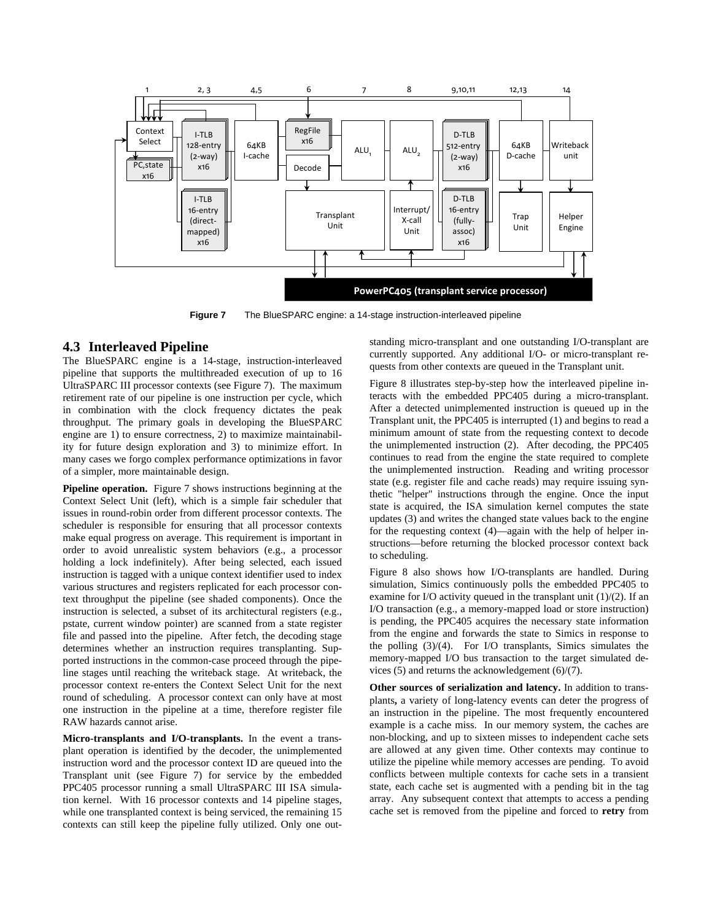

**Figure 7** The BlueSPARC engine: a 14-stage instruction-interleaved pipeline

#### **4.3 Interleaved Pipeline**

The BlueSPARC engine is a 14-stage, instruction-interleaved pipeline that supports the multithreaded execution of up to 16 UltraSPARC III processor contexts (see Figure 7). The maximum retirement rate of our pipeline is one instruction per cycle, which in combination with the clock frequency dictates the peak throughput. The primary goals in developing the BlueSPARC engine are 1) to ensure correctness, 2) to maximize maintainability for future design exploration and 3) to minimize effort. In many cases we forgo complex performance optimizations in favor of a simpler, more maintainable design.

**Pipeline operation.** Figure 7 shows instructions beginning at the Context Select Unit (left), which is a simple fair scheduler that issues in round-robin order from different processor contexts. The scheduler is responsible for ensuring that all processor contexts make equal progress on average. This requirement is important in order to avoid unrealistic system behaviors (e.g., a processor holding a lock indefinitely). After being selected, each issued instruction is tagged with a unique context identifier used to index various structures and registers replicated for each processor context throughput the pipeline (see shaded components). Once the instruction is selected, a subset of its architectural registers (e.g., pstate, current window pointer) are scanned from a state register file and passed into the pipeline. After fetch, the decoding stage determines whether an instruction requires transplanting. Supported instructions in the common-case proceed through the pipeline stages until reaching the writeback stage. At writeback, the processor context re-enters the Context Select Unit for the next round of scheduling. A processor context can only have at most one instruction in the pipeline at a time, therefore register file RAW hazards cannot arise.

**Micro-transplants and I/O-transplants.** In the event a transplant operation is identified by the decoder, the unimplemented instruction word and the processor context ID are queued into the Transplant unit (see Figure 7) for service by the embedded PPC405 processor running a small UltraSPARC III ISA simulation kernel. With 16 processor contexts and 14 pipeline stages, while one transplanted context is being serviced, the remaining 15 contexts can still keep the pipeline fully utilized. Only one outstanding micro-transplant and one outstanding I/O-transplant are currently supported. Any additional I/O- or micro-transplant requests from other contexts are queued in the Transplant unit.

Figure 8 illustrates step-by-step how the interleaved pipeline interacts with the embedded PPC405 during a micro-transplant. After a detected unimplemented instruction is queued up in the Transplant unit, the PPC405 is interrupted (1) and begins to read a minimum amount of state from the requesting context to decode the unimplemented instruction (2). After decoding, the PPC405 continues to read from the engine the state required to complete the unimplemented instruction. Reading and writing processor state (e.g. register file and cache reads) may require issuing synthetic "helper" instructions through the engine. Once the input state is acquired, the ISA simulation kernel computes the state updates (3) and writes the changed state values back to the engine for the requesting context (4)—again with the help of helper instructions—before returning the blocked processor context back to scheduling.

Figure 8 also shows how I/O-transplants are handled. During simulation, Simics continuously polls the embedded PPC405 to examine for I/O activity queued in the transplant unit  $(1)/(2)$ . If an I/O transaction (e.g., a memory-mapped load or store instruction) is pending, the PPC405 acquires the necessary state information from the engine and forwards the state to Simics in response to the polling (3)/(4). For I/O transplants, Simics simulates the memory-mapped I/O bus transaction to the target simulated devices (5) and returns the acknowledgement (6)/(7).

**Other sources of serialization and latency.** In addition to transplants**,** a variety of long-latency events can deter the progress of an instruction in the pipeline. The most frequently encountered example is a cache miss. In our memory system, the caches are non-blocking, and up to sixteen misses to independent cache sets are allowed at any given time. Other contexts may continue to utilize the pipeline while memory accesses are pending. To avoid conflicts between multiple contexts for cache sets in a transient state, each cache set is augmented with a pending bit in the tag array. Any subsequent context that attempts to access a pending cache set is removed from the pipeline and forced to **retry** from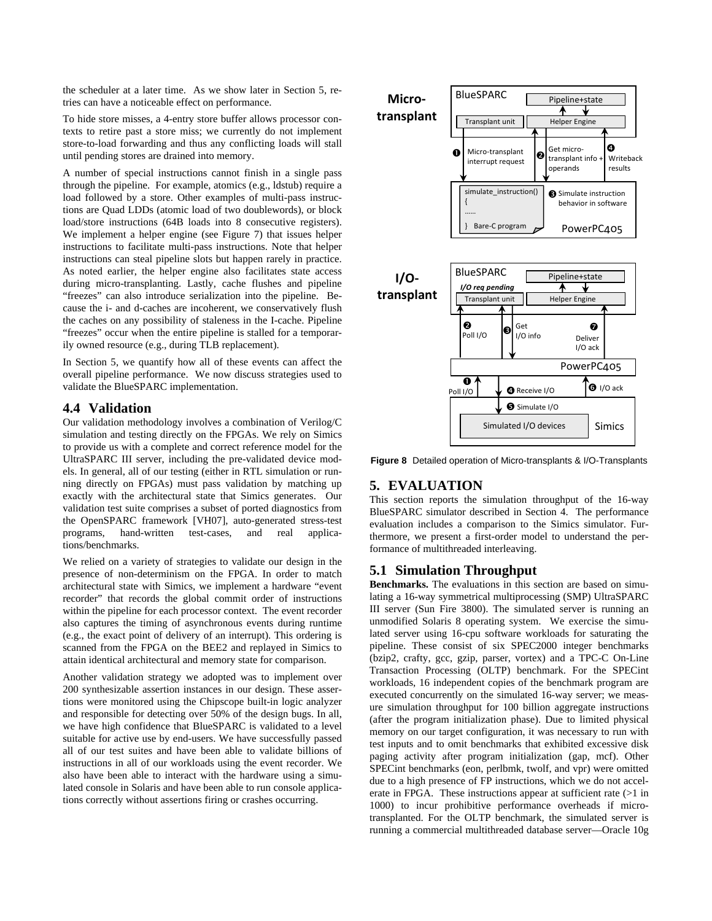the scheduler at a later time. As we show later in Section 5, retries can have a noticeable effect on performance.

To hide store misses, a 4-entry store buffer allows processor contexts to retire past a store miss; we currently do not implement store-to-load forwarding and thus any conflicting loads will stall until pending stores are drained into memory.

A number of special instructions cannot finish in a single pass through the pipeline. For example, atomics (e.g., ldstub) require a load followed by a store. Other examples of multi-pass instructions are Quad LDDs (atomic load of two doublewords), or block load/store instructions (64B loads into 8 consecutive registers). We implement a helper engine (see Figure 7) that issues helper instructions to facilitate multi-pass instructions. Note that helper instructions can steal pipeline slots but happen rarely in practice. As noted earlier, the helper engine also facilitates state access during micro-transplanting. Lastly, cache flushes and pipeline "freezes" can also introduce serialization into the pipeline. Because the i- and d-caches are incoherent, we conservatively flush the caches on any possibility of staleness in the I-cache. Pipeline "freezes" occur when the entire pipeline is stalled for a temporarily owned resource (e.g., during TLB replacement).

In Section 5, we quantify how all of these events can affect the overall pipeline performance. We now discuss strategies used to validate the BlueSPARC implementation.

#### **4.4 Validation**

Our validation methodology involves a combination of Verilog/C simulation and testing directly on the FPGAs. We rely on Simics to provide us with a complete and correct reference model for the UltraSPARC III server, including the pre-validated device models. In general, all of our testing (either in RTL simulation or running directly on FPGAs) must pass validation by matching up exactly with the architectural state that Simics generates. Our validation test suite comprises a subset of ported diagnostics from the OpenSPARC framework [VH07], auto-generated stress-test programs, hand-written test-cases, and real applications/benchmarks.

We relied on a variety of strategies to validate our design in the presence of non-determinism on the FPGA. In order to match architectural state with Simics, we implement a hardware "event recorder" that records the global commit order of instructions within the pipeline for each processor context. The event recorder also captures the timing of asynchronous events during runtime (e.g., the exact point of delivery of an interrupt). This ordering is scanned from the FPGA on the BEE2 and replayed in Simics to attain identical architectural and memory state for comparison.

Another validation strategy we adopted was to implement over 200 synthesizable assertion instances in our design. These assertions were monitored using the Chipscope built-in logic analyzer and responsible for detecting over 50% of the design bugs. In all, we have high confidence that BlueSPARC is validated to a level suitable for active use by end-users. We have successfully passed all of our test suites and have been able to validate billions of instructions in all of our workloads using the event recorder. We also have been able to interact with the hardware using a simulated console in Solaris and have been able to run console applications correctly without assertions firing or crashes occurring.



**Figure 8** Detailed operation of Micro-transplants & I/O-Transplants

### **5. EVALUATION**

This section reports the simulation throughput of the 16-way BlueSPARC simulator described in Section 4. The performance evaluation includes a comparison to the Simics simulator. Furthermore, we present a first-order model to understand the performance of multithreaded interleaving.

### **5.1 Simulation Throughput**

**Benchmarks.** The evaluations in this section are based on simulating a 16-way symmetrical multiprocessing (SMP) UltraSPARC III server (Sun Fire 3800). The simulated server is running an unmodified Solaris 8 operating system. We exercise the simulated server using 16-cpu software workloads for saturating the pipeline. These consist of six SPEC2000 integer benchmarks (bzip2, crafty, gcc, gzip, parser, vortex) and a TPC-C On-Line Transaction Processing (OLTP) benchmark. For the SPECint workloads, 16 independent copies of the benchmark program are executed concurrently on the simulated 16-way server; we measure simulation throughput for 100 billion aggregate instructions (after the program initialization phase). Due to limited physical memory on our target configuration, it was necessary to run with test inputs and to omit benchmarks that exhibited excessive disk paging activity after program initialization (gap, mcf). Other SPECint benchmarks (eon, perlbmk, twolf, and vpr) were omitted due to a high presence of FP instructions, which we do not accelerate in FPGA. These instructions appear at sufficient rate (>1 in 1000) to incur prohibitive performance overheads if microtransplanted. For the OLTP benchmark, the simulated server is running a commercial multithreaded database server—Oracle 10g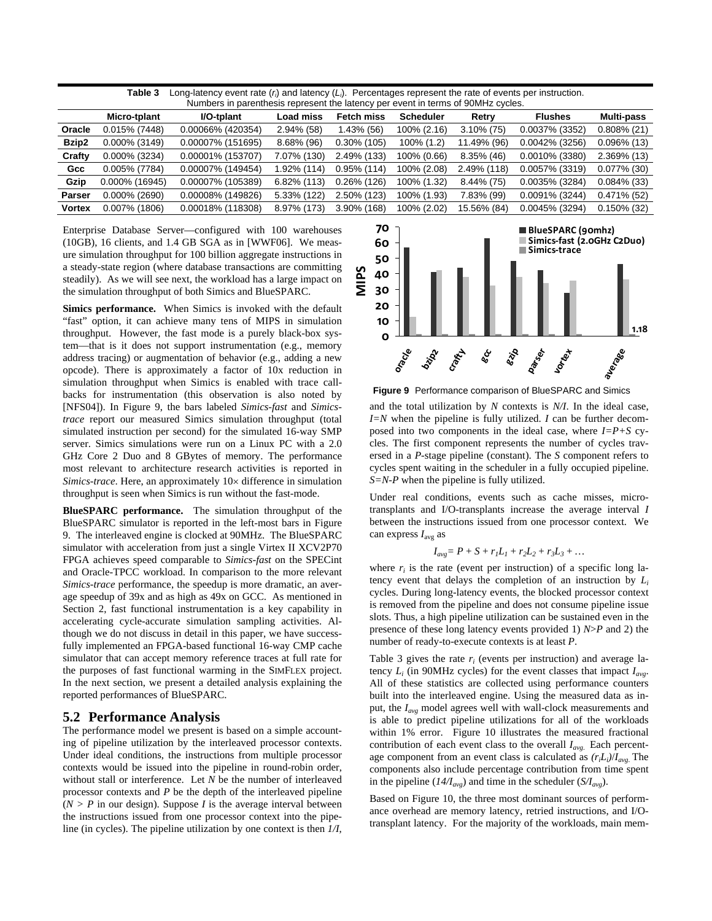|               | Table 3          | Long-latency event rate $(r_i)$ and latency $(L_i)$ . Percentages represent the rate of events per instruction. |               |                   |                  |               |                   |                   |  |  |
|---------------|------------------|-----------------------------------------------------------------------------------------------------------------|---------------|-------------------|------------------|---------------|-------------------|-------------------|--|--|
|               |                  | Numbers in parenthesis represent the latency per event in terms of 90MHz cycles.                                |               |                   |                  |               |                   |                   |  |  |
|               | Micro-tplant     | I/O-tplant                                                                                                      | Load miss     | <b>Fetch miss</b> | <b>Scheduler</b> | Retry         | <b>Flushes</b>    | <b>Multi-pass</b> |  |  |
| Oracle        | $0.015\%$ (7448) | 0.00066% (420354)                                                                                               | 2.94% (58)    | 1.43% (56)        | 100% (2.16)      | $3.10\%$ (75) | 0.0037% (3352)    | $0.808\%$ (21)    |  |  |
| Bzip2         | $0.000\%$ (3149) | 0.00007% (151695)                                                                                               | $8.68\%$ (96) | $0.30\%$ (105)    | 100% (1.2)       | 11.49% (96)   | $0.0042\%$ (3256) | $0.096\%$ (13)    |  |  |
| Crafty        | $0.000\%$ (3234) | 0.00001% (153707)                                                                                               | 7.07% (130)   | 2.49% (133)       | 100% (0.66)      | $8.35\%$ (46) | 0.0010% (3380)    | 2.369% (13)       |  |  |
| Gcc           | $0.005\%$ (7784) | 0.00007% (149454)                                                                                               | 1.92% (114)   | $0.95\%$ (114)    | 100% (2.08)      | 2.49% (118)   | 0.0057% (3319)    | $0.077\%$ (30)    |  |  |
| Gzip          | 0.000% (16945)   | 0.00007% (105389)                                                                                               | 6.82% (113)   | $0.26\%$ (126)    | 100% (1.32)      | 8.44% (75)    | 0.0035% (3284)    | $0.084\%$ (33)    |  |  |
| <b>Parser</b> | $0.000\%$ (2690) | 0.00008% (149826)                                                                                               | 5.33% (122)   | 2.50% (123)       | 100% (1.93)      | 7.83% (99)    | 0.0091% (3244)    | $0.471\%$ (52)    |  |  |
| <b>Vortex</b> | $0.007\%$ (1806) | 0.00018% (118308)                                                                                               | 8.97% (173)   | 3.90% (168)       | 100% (2.02)      | 15.56% (84)   | $0.0045\%$ (3294) | $0.150\%$ (32)    |  |  |

Enterprise Database Server—configured with 100 warehouses (10GB), 16 clients, and 1.4 GB SGA as in [WWF06]. We measure simulation throughput for 100 billion aggregate instructions in a steady-state region (where database transactions are committing steadily). As we will see next, the workload has a large impact on the simulation throughput of both Simics and BlueSPARC.

**Simics performance.** When Simics is invoked with the default "fast" option, it can achieve many tens of MIPS in simulation throughput. However, the fast mode is a purely black-box system—that is it does not support instrumentation (e.g., memory address tracing) or augmentation of behavior (e.g., adding a new opcode). There is approximately a factor of 10x reduction in simulation throughput when Simics is enabled with trace callbacks for instrumentation (this observation is also noted by [NFS04]). In Figure 9, the bars labeled *Simics-fast* and *Simicstrace* report our measured Simics simulation throughput (total simulated instruction per second) for the simulated 16-way SMP server. Simics simulations were run on a Linux PC with a 2.0 GHz Core 2 Duo and 8 GBytes of memory. The performance most relevant to architecture research activities is reported in *Simics-trace*. Here, an approximately  $10\times$  difference in simulation throughput is seen when Simics is run without the fast-mode.

**BlueSPARC performance.** The simulation throughput of the BlueSPARC simulator is reported in the left-most bars in Figure 9. The interleaved engine is clocked at 90MHz. The BlueSPARC simulator with acceleration from just a single Virtex II XCV2P70 FPGA achieves speed comparable to *Simics-fast* on the SPECint and Oracle-TPCC workload. In comparison to the more relevant *Simics-trace* performance, the speedup is more dramatic, an average speedup of 39x and as high as 49x on GCC. As mentioned in Section 2, fast functional instrumentation is a key capability in accelerating cycle-accurate simulation sampling activities. Although we do not discuss in detail in this paper, we have successfully implemented an FPGA-based functional 16-way CMP cache simulator that can accept memory reference traces at full rate for the purposes of fast functional warming in the SIMFLEX project. In the next section, we present a detailed analysis explaining the reported performances of BlueSPARC.

### **5.2 Performance Analysis**

The performance model we present is based on a simple accounting of pipeline utilization by the interleaved processor contexts. Under ideal conditions, the instructions from multiple processor contexts would be issued into the pipeline in round-robin order, without stall or interference. Let *N* be the number of interleaved processor contexts and *P* be the depth of the interleaved pipeline  $(N > P)$  in our design). Suppose *I* is the average interval between the instructions issued from one processor context into the pipeline (in cycles). The pipeline utilization by one context is then *1/I*,



**Figure 9** Performance comparison of BlueSPARC and Simics

and the total utilization by *N* contexts is *N/I*. In the ideal case, *I=N* when the pipeline is fully utilized. *I* can be further decomposed into two components in the ideal case, where *I=P+S* cycles. The first component represents the number of cycles traversed in a *P*-stage pipeline (constant). The *S* component refers to cycles spent waiting in the scheduler in a fully occupied pipeline. *S=N-P* when the pipeline is fully utilized.

Under real conditions, events such as cache misses, microtransplants and I/O-transplants increase the average interval *I*  between the instructions issued from one processor context. We can express *I*avg as

$$
I_{avg} = P + S + r_1 L_1 + r_2 L_2 + r_3 L_3 + \dots
$$

where  $r_i$  is the rate (event per instruction) of a specific long latency event that delays the completion of an instruction by  $L_i$ cycles. During long-latency events, the blocked processor context is removed from the pipeline and does not consume pipeline issue slots. Thus, a high pipeline utilization can be sustained even in the presence of these long latency events provided 1) *N*>*P* and 2) the number of ready-to-execute contexts is at least *P*.

Table 3 gives the rate  $r_i$  (events per instruction) and average latency  $L_i$  (in 90MHz cycles) for the event classes that impact  $I_{avg}$ . All of these statistics are collected using performance counters built into the interleaved engine. Using the measured data as input, the *Iavg* model agrees well with wall-clock measurements and is able to predict pipeline utilizations for all of the workloads within 1% error. Figure 10 illustrates the measured fractional contribution of each event class to the overall *Iavg*. Each percentage component from an event class is calculated as *(riLi)*/*Iavg*. The components also include percentage contribution from time spent in the pipeline  $(14/I_{\text{ave}})$  and time in the scheduler  $(S/I_{\text{ave}})$ .

Based on Figure 10, the three most dominant sources of performance overhead are memory latency, retried instructions, and I/Otransplant latency. For the majority of the workloads, main mem